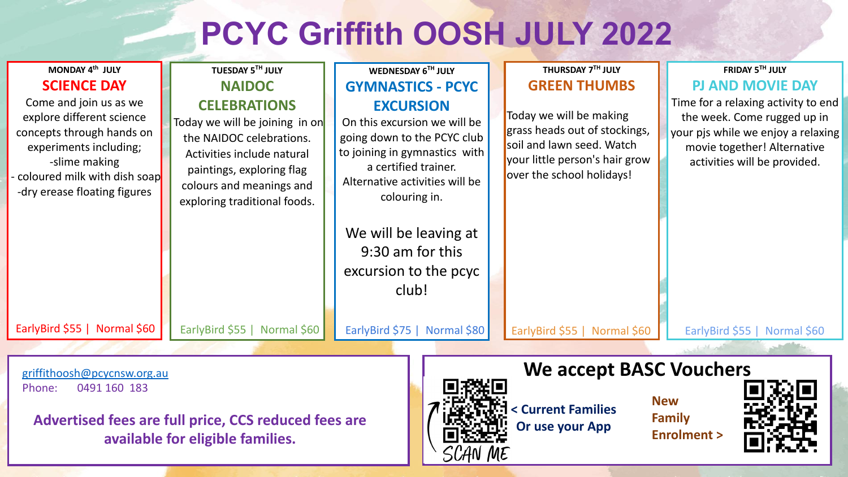## **PCYC Griffith OOSH JULY 2022**

| MONDAY 4th JULY                                                                                                                                                                             | TUESDAY 5TH JULY                                                                                                                                                                                         | WEDNESDAY 6TH JULY                                                                                                                                                                                                                                                         | THURSDAY 7TH JULY                                                                                                                                    | FRIDAY 5TH JULY                                                                                                                                                         |  |  |  |  |
|---------------------------------------------------------------------------------------------------------------------------------------------------------------------------------------------|----------------------------------------------------------------------------------------------------------------------------------------------------------------------------------------------------------|----------------------------------------------------------------------------------------------------------------------------------------------------------------------------------------------------------------------------------------------------------------------------|------------------------------------------------------------------------------------------------------------------------------------------------------|-------------------------------------------------------------------------------------------------------------------------------------------------------------------------|--|--|--|--|
| <b>SCIENCE DAY</b>                                                                                                                                                                          | <b>NAIDOC</b>                                                                                                                                                                                            | <b>GYMNASTICS - PCYC</b>                                                                                                                                                                                                                                                   | <b>GREEN THUMBS</b>                                                                                                                                  | <b>PJ AND MOVIE DAY</b>                                                                                                                                                 |  |  |  |  |
| Come and join us as we<br>explore different science<br>concepts through hands on<br>experiments including;<br>-slime making<br>coloured milk with dish soap<br>-dry erease floating figures | <b>CELEBRATIONS</b><br>Today we will be joining in on<br>the NAIDOC celebrations.<br>Activities include natural<br>paintings, exploring flag<br>colours and meanings and<br>exploring traditional foods. | <b>EXCURSION</b><br>On this excursion we will be<br>going down to the PCYC club<br>to joining in gymnastics with<br>a certified trainer.<br>Alternative activities will be<br>colouring in.<br>We will be leaving at<br>9:30 am for this<br>excursion to the pcyc<br>club! | Today we will be making<br>grass heads out of stockings,<br>soil and lawn seed. Watch<br>your little person's hair grow<br>over the school holidays! | Time for a relaxing activity to end<br>the week. Come rugged up in<br>your pjs while we enjoy a relaxing<br>movie together! Alternative<br>activities will be provided. |  |  |  |  |
| EarlyBird \$55   Normal \$60                                                                                                                                                                | EarlyBird \$55   Normal \$60                                                                                                                                                                             | EarlyBird \$75   Normal \$80                                                                                                                                                                                                                                               | EarlyBird \$55   Normal \$60                                                                                                                         | EarlyBird \$55   Normal \$60                                                                                                                                            |  |  |  |  |
|                                                                                                                                                                                             |                                                                                                                                                                                                          |                                                                                                                                                                                                                                                                            |                                                                                                                                                      |                                                                                                                                                                         |  |  |  |  |
| griffithoosh@pcycnsw.org.au<br>0491 160 183<br>Phone:                                                                                                                                       |                                                                                                                                                                                                          | <b>We accept BASC Vouchers</b>                                                                                                                                                                                                                                             |                                                                                                                                                      |                                                                                                                                                                         |  |  |  |  |
| <b>New</b><br>< Current Families<br><b>Family</b><br>Advertised fees are full price, CCS reduced fees are<br>Or use your App<br><b>Enrolment &gt;</b><br>available for eligible families.   |                                                                                                                                                                                                          |                                                                                                                                                                                                                                                                            |                                                                                                                                                      |                                                                                                                                                                         |  |  |  |  |